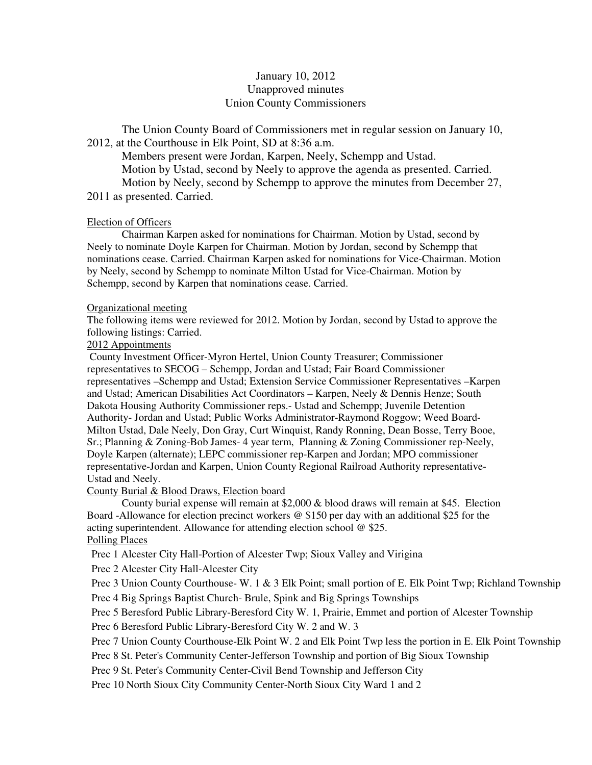# January 10, 2012 Unapproved minutes Union County Commissioners

The Union County Board of Commissioners met in regular session on January 10, 2012, at the Courthouse in Elk Point, SD at 8:36 a.m.

 Members present were Jordan, Karpen, Neely, Schempp and Ustad. Motion by Ustad, second by Neely to approve the agenda as presented. Carried. Motion by Neely, second by Schempp to approve the minutes from December 27, 2011 as presented. Carried.

## Election of Officers

 Chairman Karpen asked for nominations for Chairman. Motion by Ustad, second by Neely to nominate Doyle Karpen for Chairman. Motion by Jordan, second by Schempp that nominations cease. Carried. Chairman Karpen asked for nominations for Vice-Chairman. Motion by Neely, second by Schempp to nominate Milton Ustad for Vice-Chairman. Motion by Schempp, second by Karpen that nominations cease. Carried.

## Organizational meeting

The following items were reviewed for 2012. Motion by Jordan, second by Ustad to approve the following listings: Carried.

## 2012 Appointments

County Investment Officer-Myron Hertel, Union County Treasurer; Commissioner representatives to SECOG – Schempp, Jordan and Ustad; Fair Board Commissioner representatives –Schempp and Ustad; Extension Service Commissioner Representatives –Karpen and Ustad; American Disabilities Act Coordinators – Karpen, Neely & Dennis Henze; South Dakota Housing Authority Commissioner reps.- Ustad and Schempp; Juvenile Detention Authority- Jordan and Ustad; Public Works Administrator-Raymond Roggow; Weed Board-Milton Ustad, Dale Neely, Don Gray, Curt Winquist, Randy Ronning, Dean Bosse, Terry Booe, Sr.; Planning & Zoning-Bob James- 4 year term, Planning & Zoning Commissioner rep-Neely, Doyle Karpen (alternate); LEPC commissioner rep-Karpen and Jordan; MPO commissioner representative-Jordan and Karpen, Union County Regional Railroad Authority representative-Ustad and Neely.

# County Burial & Blood Draws, Election board

 County burial expense will remain at \$2,000 & blood draws will remain at \$45. Election Board -Allowance for election precinct workers @ \$150 per day with an additional \$25 for the acting superintendent. Allowance for attending election school @ \$25. Polling Places

# Prec 1 Alcester City Hall-Portion of Alcester Twp; Sioux Valley and Virigina

Prec 2 Alcester City Hall-Alcester City

Prec 3 Union County Courthouse- W. 1 & 3 Elk Point; small portion of E. Elk Point Twp; Richland Township Prec 4 Big Springs Baptist Church- Brule, Spink and Big Springs Townships

Prec 5 Beresford Public Library-Beresford City W. 1, Prairie, Emmet and portion of Alcester Township

Prec 6 Beresford Public Library-Beresford City W. 2 and W. 3

Prec 7 Union County Courthouse-Elk Point W. 2 and Elk Point Twp less the portion in E. Elk Point Township

Prec 8 St. Peter's Community Center-Jefferson Township and portion of Big Sioux Township

Prec 9 St. Peter's Community Center-Civil Bend Township and Jefferson City

Prec 10 North Sioux City Community Center-North Sioux City Ward 1 and 2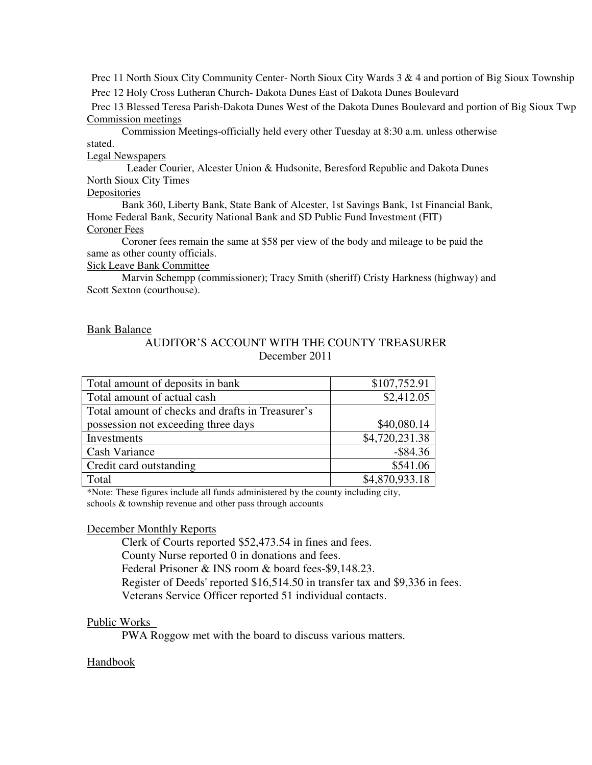Prec 11 North Sioux City Community Center- North Sioux City Wards 3 & 4 and portion of Big Sioux Township Prec 12 Holy Cross Lutheran Church- Dakota Dunes East of Dakota Dunes Boulevard

Prec 13 Blessed Teresa Parish-Dakota Dunes West of the Dakota Dunes Boulevard and portion of Big Sioux Twp Commission meetings

 Commission Meetings-officially held every other Tuesday at 8:30 a.m. unless otherwise stated.

# Legal Newspapers

 Leader Courier, Alcester Union & Hudsonite, Beresford Republic and Dakota Dunes North Sioux City Times

# Depositories

 Bank 360, Liberty Bank, State Bank of Alcester, 1st Savings Bank, 1st Financial Bank, Home Federal Bank, Security National Bank and SD Public Fund Investment (FIT) Coroner Fees

 Coroner fees remain the same at \$58 per view of the body and mileage to be paid the same as other county officials.

Sick Leave Bank Committee

 Marvin Schempp (commissioner); Tracy Smith (sheriff) Cristy Harkness (highway) and Scott Sexton (courthouse).

## Bank Balance

# AUDITOR'S ACCOUNT WITH THE COUNTY TREASURER December 2011

| Total amount of deposits in bank                 | \$107,752.91   |
|--------------------------------------------------|----------------|
| Total amount of actual cash                      | \$2,412.05     |
| Total amount of checks and drafts in Treasurer's |                |
| possession not exceeding three days              | \$40,080.14    |
| Investments                                      | \$4,720,231.38 |
| Cash Variance                                    | $-$ \$84.36    |
| Credit card outstanding                          | \$541.06       |
| Total                                            | \$4,870,933.18 |

\*Note: These figures include all funds administered by the county including city, schools & township revenue and other pass through accounts

# December Monthly Reports

 Clerk of Courts reported \$52,473.54 in fines and fees. County Nurse reported 0 in donations and fees. Federal Prisoner & INS room & board fees-\$9,148.23. Register of Deeds' reported \$16,514.50 in transfer tax and \$9,336 in fees. Veterans Service Officer reported 51 individual contacts.

# Public Works

PWA Roggow met with the board to discuss various matters.

# Handbook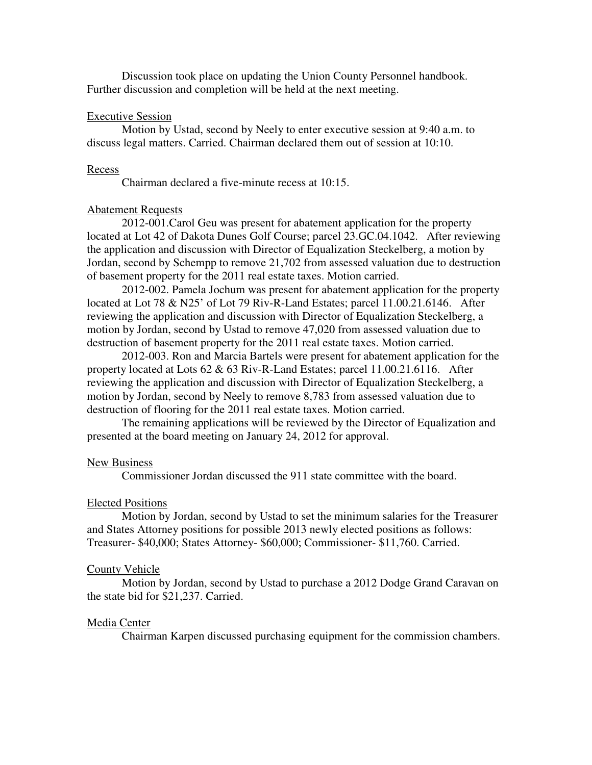Discussion took place on updating the Union County Personnel handbook. Further discussion and completion will be held at the next meeting.

## Executive Session

Motion by Ustad, second by Neely to enter executive session at 9:40 a.m. to discuss legal matters. Carried. Chairman declared them out of session at 10:10.

## Recess

Chairman declared a five-minute recess at 10:15.

#### Abatement Requests

 2012-001.Carol Geu was present for abatement application for the property located at Lot 42 of Dakota Dunes Golf Course; parcel 23.GC.04.1042. After reviewing the application and discussion with Director of Equalization Steckelberg, a motion by Jordan, second by Schempp to remove 21,702 from assessed valuation due to destruction of basement property for the 2011 real estate taxes. Motion carried.

2012-002. Pamela Jochum was present for abatement application for the property located at Lot 78 & N25' of Lot 79 Riv-R-Land Estates; parcel 11.00.21.6146. After reviewing the application and discussion with Director of Equalization Steckelberg, a motion by Jordan, second by Ustad to remove 47,020 from assessed valuation due to destruction of basement property for the 2011 real estate taxes. Motion carried.

2012-003. Ron and Marcia Bartels were present for abatement application for the property located at Lots 62 & 63 Riv-R-Land Estates; parcel 11.00.21.6116. After reviewing the application and discussion with Director of Equalization Steckelberg, a motion by Jordan, second by Neely to remove 8,783 from assessed valuation due to destruction of flooring for the 2011 real estate taxes. Motion carried.

The remaining applications will be reviewed by the Director of Equalization and presented at the board meeting on January 24, 2012 for approval.

#### New Business

Commissioner Jordan discussed the 911 state committee with the board.

#### Elected Positions

 Motion by Jordan, second by Ustad to set the minimum salaries for the Treasurer and States Attorney positions for possible 2013 newly elected positions as follows: Treasurer- \$40,000; States Attorney- \$60,000; Commissioner- \$11,760. Carried.

#### County Vehicle

 Motion by Jordan, second by Ustad to purchase a 2012 Dodge Grand Caravan on the state bid for \$21,237. Carried.

#### Media Center

Chairman Karpen discussed purchasing equipment for the commission chambers.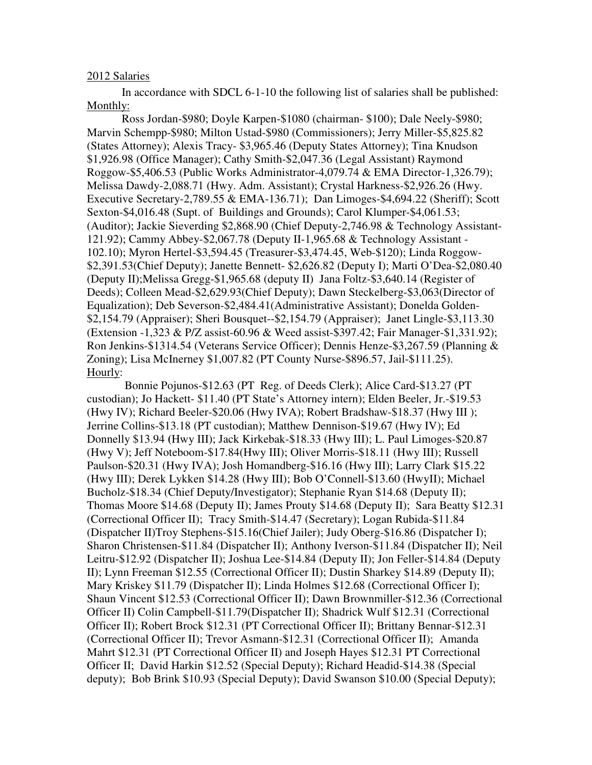#### 2012 Salaries

 In accordance with SDCL 6-1-10 the following list of salaries shall be published: Monthly:

 Ross Jordan-\$980; Doyle Karpen-\$1080 (chairman- \$100); Dale Neely-\$980; Marvin Schempp-\$980; Milton Ustad-\$980 (Commissioners); Jerry Miller-\$5,825.82 (States Attorney); Alexis Tracy- \$3,965.46 (Deputy States Attorney); Tina Knudson \$1,926.98 (Office Manager); Cathy Smith-\$2,047.36 (Legal Assistant) Raymond Roggow-\$5,406.53 (Public Works Administrator-4,079.74 & EMA Director-1,326.79); Melissa Dawdy-2,088.71 (Hwy. Adm. Assistant); Crystal Harkness-\$2,926.26 (Hwy. Executive Secretary-2,789.55 & EMA-136.71); Dan Limoges-\$4,694.22 (Sheriff); Scott Sexton-\$4,016.48 (Supt. of Buildings and Grounds); Carol Klumper-\$4,061.53; (Auditor); Jackie Sieverding \$2,868.90 (Chief Deputy-2,746.98 & Technology Assistant-121.92); Cammy Abbey-\$2,067.78 (Deputy II-1,965.68 & Technology Assistant - 102.10); Myron Hertel-\$3,594.45 (Treasurer-\$3,474.45, Web-\$120); Linda Roggow- \$2,391.53(Chief Deputy); Janette Bennett- \$2,626.82 (Deputy I); Marti O'Dea-\$2,080.40 (Deputy II);Melissa Gregg-\$1,965.68 (deputy II) Jana Foltz-\$3,640.14 (Register of Deeds); Colleen Mead-\$2,629.93(Chief Deputy); Dawn Steckelberg-\$3,063(Director of Equalization); Deb Severson-\$2,484.41(Administrative Assistant); Donelda Golden- \$2,154.79 (Appraiser); Sheri Bousquet--\$2,154.79 (Appraiser); Janet Lingle-\$3,113.30 (Extension -1,323 & P/Z assist-60.96 & Weed assist-\$397.42; Fair Manager-\$1,331.92); Ron Jenkins-\$1314.54 (Veterans Service Officer); Dennis Henze-\$3,267.59 (Planning & Zoning); Lisa McInerney \$1,007.82 (PT County Nurse-\$896.57, Jail-\$111.25). Hourly:

 Bonnie Pojunos-\$12.63 (PT Reg. of Deeds Clerk); Alice Card-\$13.27 (PT custodian); Jo Hackett- \$11.40 (PT State's Attorney intern); Elden Beeler, Jr.-\$19.53 (Hwy IV); Richard Beeler-\$20.06 (Hwy IVA); Robert Bradshaw-\$18.37 (Hwy III ); Jerrine Collins-\$13.18 (PT custodian); Matthew Dennison-\$19.67 (Hwy IV); Ed Donnelly \$13.94 **(**Hwy III); Jack Kirkebak-\$18.33 (Hwy III); L. Paul Limoges-\$20.87 (Hwy V); Jeff Noteboom-\$17.84(Hwy III); Oliver Morris-\$18.11 (Hwy III); Russell Paulson-\$20.31 (Hwy IVA); Josh Homandberg-\$16.16 (Hwy III); Larry Clark \$15.22 (Hwy III); Derek Lykken \$14.28 (Hwy III); Bob O'Connell-\$13.60 (HwyII); Michael Bucholz-\$18.34 (Chief Deputy/Investigator); Stephanie Ryan \$14.68 (Deputy II); Thomas Moore \$14.68 (Deputy II); James Prouty \$14.68 (Deputy II); Sara Beatty \$12.31 (Correctional Officer II); Tracy Smith-\$14.47 (Secretary); Logan Rubida-\$11.84 (Dispatcher II)Troy Stephens-\$15.16(Chief Jailer); Judy Oberg-\$16.86 (Dispatcher I); Sharon Christensen-\$11.84 (Dispatcher II); Anthony Iverson-\$11.84 (Dispatcher II); Neil Leitru-\$12.92 (Dispatcher II); Joshua Lee-\$14.84 (Deputy II); Jon Feller-\$14.84 (Deputy II); Lynn Freeman \$12.55 (Correctional Officer II); Dustin Sharkey \$14.89 (Deputy II); Mary Kriskey \$11.79 (Dispatcher II); Linda Holmes \$12.68 (Correctional Officer I); Shaun Vincent \$12.53 (Correctional Officer II); Dawn Brownmiller-\$12.36 (Correctional Officer II) Colin Campbell-\$11.79(Dispatcher II); Shadrick Wulf \$12.31 (Correctional Officer II); Robert Brock \$12.31 (PT Correctional Officer II); Brittany Bennar-\$12.31 (Correctional Officer II); Trevor Asmann-\$12.31 (Correctional Officer II); Amanda Mahrt \$12.31 (PT Correctional Officer II) and Joseph Hayes \$12.31 PT Correctional Officer II; David Harkin \$12.52 (Special Deputy); Richard Headid-\$14.38 (Special deputy); Bob Brink \$10.93 (Special Deputy); David Swanson \$10.00 (Special Deputy);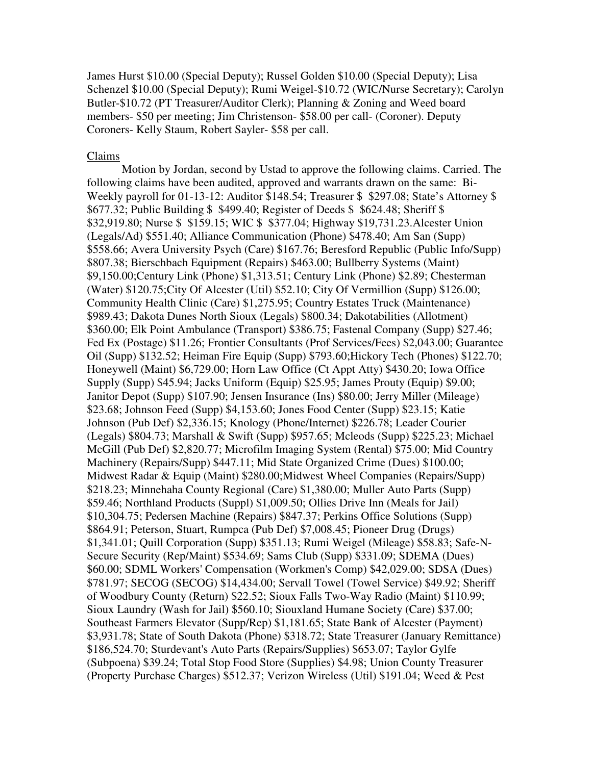James Hurst \$10.00 (Special Deputy); Russel Golden \$10.00 (Special Deputy); Lisa Schenzel \$10.00 (Special Deputy); Rumi Weigel-\$10.72 (WIC/Nurse Secretary); Carolyn Butler-\$10.72 (PT Treasurer/Auditor Clerk); Planning & Zoning and Weed board members- \$50 per meeting; Jim Christenson- \$58.00 per call- (Coroner). Deputy Coroners- Kelly Staum, Robert Sayler- \$58 per call.

## Claims

 Motion by Jordan, second by Ustad to approve the following claims. Carried. The following claims have been audited, approved and warrants drawn on the same: Bi-Weekly payroll for 01-13-12: Auditor \$148.54; Treasurer \$ \$297.08; State's Attorney \$ \$677.32; Public Building \$ \$499.40; Register of Deeds \$ \$624.48; Sheriff \$ \$32,919.80; Nurse \$ \$159.15; WIC \$ \$377.04; Highway \$19,731.23.Alcester Union (Legals/Ad) \$551.40; Alliance Communication (Phone) \$478.40; Am San (Supp) \$558.66; Avera University Psych (Care) \$167.76; Beresford Republic (Public Info/Supp) \$807.38; Bierschbach Equipment (Repairs) \$463.00; Bullberry Systems (Maint) \$9,150.00;Century Link (Phone) \$1,313.51; Century Link (Phone) \$2.89; Chesterman (Water) \$120.75;City Of Alcester (Util) \$52.10; City Of Vermillion (Supp) \$126.00; Community Health Clinic (Care) \$1,275.95; Country Estates Truck (Maintenance) \$989.43; Dakota Dunes North Sioux (Legals) \$800.34; Dakotabilities (Allotment) \$360.00; Elk Point Ambulance (Transport) \$386.75; Fastenal Company (Supp) \$27.46; Fed Ex (Postage) \$11.26; Frontier Consultants (Prof Services/Fees) \$2,043.00; Guarantee Oil (Supp) \$132.52; Heiman Fire Equip (Supp) \$793.60;Hickory Tech (Phones) \$122.70; Honeywell (Maint) \$6,729.00; Horn Law Office (Ct Appt Atty) \$430.20; Iowa Office Supply (Supp) \$45.94; Jacks Uniform (Equip) \$25.95; James Prouty (Equip) \$9.00; Janitor Depot (Supp) \$107.90; Jensen Insurance (Ins) \$80.00; Jerry Miller (Mileage) \$23.68; Johnson Feed (Supp) \$4,153.60; Jones Food Center (Supp) \$23.15; Katie Johnson (Pub Def) \$2,336.15; Knology (Phone/Internet) \$226.78; Leader Courier (Legals) \$804.73; Marshall & Swift (Supp) \$957.65; Mcleods (Supp) \$225.23; Michael McGill (Pub Def) \$2,820.77; Microfilm Imaging System (Rental) \$75.00; Mid Country Machinery (Repairs/Supp) \$447.11; Mid State Organized Crime (Dues) \$100.00; Midwest Radar & Equip (Maint) \$280.00;Midwest Wheel Companies (Repairs/Supp) \$218.23; Minnehaha County Regional (Care) \$1,380.00; Muller Auto Parts (Supp) \$59.46; Northland Products (Suppl) \$1,009.50; Ollies Drive Inn (Meals for Jail) \$10,304.75; Pedersen Machine (Repairs) \$847.37; Perkins Office Solutions (Supp) \$864.91; Peterson, Stuart, Rumpca (Pub Def) \$7,008.45; Pioneer Drug (Drugs) \$1,341.01; Quill Corporation (Supp) \$351.13; Rumi Weigel (Mileage) \$58.83; Safe-N-Secure Security (Rep/Maint) \$534.69; Sams Club (Supp) \$331.09; SDEMA (Dues) \$60.00; SDML Workers' Compensation (Workmen's Comp) \$42,029.00; SDSA (Dues) \$781.97; SECOG (SECOG) \$14,434.00; Servall Towel (Towel Service) \$49.92; Sheriff of Woodbury County (Return) \$22.52; Sioux Falls Two-Way Radio (Maint) \$110.99; Sioux Laundry (Wash for Jail) \$560.10; Siouxland Humane Society (Care) \$37.00; Southeast Farmers Elevator (Supp/Rep) \$1,181.65; State Bank of Alcester (Payment) \$3,931.78; State of South Dakota (Phone) \$318.72; State Treasurer (January Remittance) \$186,524.70; Sturdevant's Auto Parts (Repairs/Supplies) \$653.07; Taylor Gylfe (Subpoena) \$39.24; Total Stop Food Store (Supplies) \$4.98; Union County Treasurer (Property Purchase Charges) \$512.37; Verizon Wireless (Util) \$191.04; Weed & Pest